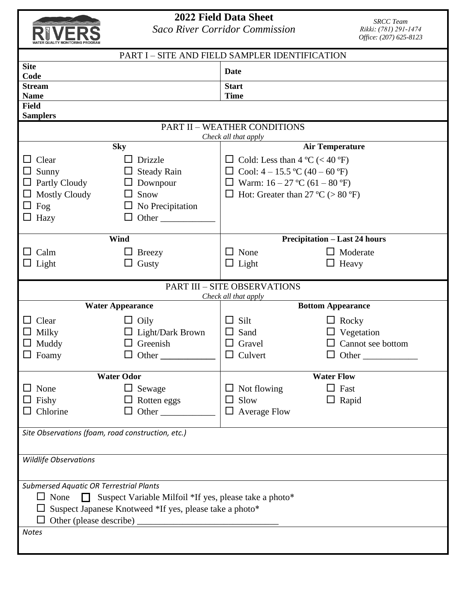| <b>WATER QUALITY MONITORING PROGRAM</b> |
|-----------------------------------------|

## **2022 Field Data Sheet**

*Saco River Corridor Commission* 

*SRCC Team Rikki: (781) 291-1474 Office: (207) 625-8123*

| PART I - SITE AND FIELD SAMPLER IDENTIFICATION                        |                                     |                                          |                                                  |              |                                               |  |  |  |  |
|-----------------------------------------------------------------------|-------------------------------------|------------------------------------------|--------------------------------------------------|--------------|-----------------------------------------------|--|--|--|--|
| <b>Site</b>                                                           |                                     |                                          | <b>Date</b>                                      |              |                                               |  |  |  |  |
| <b>Stream</b>                                                         | Code                                |                                          |                                                  | <b>Start</b> |                                               |  |  |  |  |
| <b>Name</b>                                                           |                                     |                                          | <b>Time</b>                                      |              |                                               |  |  |  |  |
| <b>Field</b>                                                          |                                     |                                          |                                                  |              |                                               |  |  |  |  |
| <b>Samplers</b>                                                       |                                     |                                          |                                                  |              |                                               |  |  |  |  |
| <b>PART II - WEATHER CONDITIONS</b><br>Check all that apply           |                                     |                                          |                                                  |              |                                               |  |  |  |  |
|                                                                       | <b>Sky</b>                          | <b>Air Temperature</b>                   |                                                  |              |                                               |  |  |  |  |
| $\Box$ Clear                                                          | Drizzle                             | $\Box$ Cold: Less than 4 °C (< 40 °F)    |                                                  |              |                                               |  |  |  |  |
| $\Box$ Sunny                                                          | <b>Steady Rain</b>                  | $\Box$ Cool: 4 – 15.5 °C (40 – 60 °F)    |                                                  |              |                                               |  |  |  |  |
| $\Box$ Partly Cloudy                                                  | Downpour                            |                                          | $\Box$ Warm: 16 – 27 °C (61 – 80 °F)             |              |                                               |  |  |  |  |
| $\Box$ Mostly Cloudy                                                  | Snow                                | $\Box$ Hot: Greater than 27 °C (> 80 °F) |                                                  |              |                                               |  |  |  |  |
| $\Box$ Fog                                                            | No Precipitation                    |                                          |                                                  |              |                                               |  |  |  |  |
| $\Box$ Hazy                                                           | Other<br>$\Box$                     |                                          |                                                  |              |                                               |  |  |  |  |
| Wind                                                                  |                                     |                                          | <b>Precipitation – Last 24 hours</b>             |              |                                               |  |  |  |  |
| Calm                                                                  | <b>Breezy</b><br>$\Box$             |                                          | $\Box$ None                                      |              | $\Box$ Moderate                               |  |  |  |  |
| $\Box$ Light                                                          | Gusty<br>$\Box$                     |                                          | $\Box$ Light                                     |              | $\Box$ Heavy                                  |  |  |  |  |
|                                                                       |                                     |                                          |                                                  |              |                                               |  |  |  |  |
|                                                                       |                                     |                                          | <b>PART III - SITE OBSERVATIONS</b>              |              |                                               |  |  |  |  |
|                                                                       | <b>Water Appearance</b>             |                                          | Check all that apply<br><b>Bottom Appearance</b> |              |                                               |  |  |  |  |
|                                                                       |                                     |                                          | Silt                                             |              |                                               |  |  |  |  |
| $\Box$ Clear                                                          | Oily                                | $\blacksquare$                           | $\Box$ Sand                                      |              | $\Box$ Rocky                                  |  |  |  |  |
| $\Box$ Milky<br>$\Box$ Muddy                                          | $\Box$ Light/Dark Brown<br>Greenish |                                          | $\Box$ Gravel                                    |              | $\Box$ Vegetation<br>$\Box$ Cannot see bottom |  |  |  |  |
| $\Box$ Foamy                                                          | Other<br>$\Box$                     |                                          | $\Box$ Culvert                                   |              |                                               |  |  |  |  |
|                                                                       |                                     |                                          |                                                  |              |                                               |  |  |  |  |
|                                                                       | <b>Water Odor</b>                   |                                          | <b>Water Flow</b>                                |              |                                               |  |  |  |  |
| $\hfill\Box$ None                                                     | $\Box$ Sewage                       |                                          | $\Box$ Not flowing                               |              | $\Box$ Fast                                   |  |  |  |  |
| $\Box$ Fishy                                                          | Rotten eggs                         |                                          | $\Box$ Slow                                      |              | $\Box$ Rapid                                  |  |  |  |  |
| Chlorine                                                              | Other                               |                                          | $\Box$ Average Flow                              |              |                                               |  |  |  |  |
| Site Observations (foam, road construction, etc.)                     |                                     |                                          |                                                  |              |                                               |  |  |  |  |
|                                                                       |                                     |                                          |                                                  |              |                                               |  |  |  |  |
| <b>Wildlife Observations</b>                                          |                                     |                                          |                                                  |              |                                               |  |  |  |  |
|                                                                       |                                     |                                          |                                                  |              |                                               |  |  |  |  |
| <b>Submersed Aquatic OR Terrestrial Plants</b>                        |                                     |                                          |                                                  |              |                                               |  |  |  |  |
| $\Box$ None<br>Suspect Variable Milfoil *If yes, please take a photo* |                                     |                                          |                                                  |              |                                               |  |  |  |  |
| Suspect Japanese Knotweed *If yes, please take a photo*               |                                     |                                          |                                                  |              |                                               |  |  |  |  |
|                                                                       |                                     |                                          |                                                  |              |                                               |  |  |  |  |
| <b>Notes</b>                                                          |                                     |                                          |                                                  |              |                                               |  |  |  |  |
|                                                                       |                                     |                                          |                                                  |              |                                               |  |  |  |  |
|                                                                       |                                     |                                          |                                                  |              |                                               |  |  |  |  |